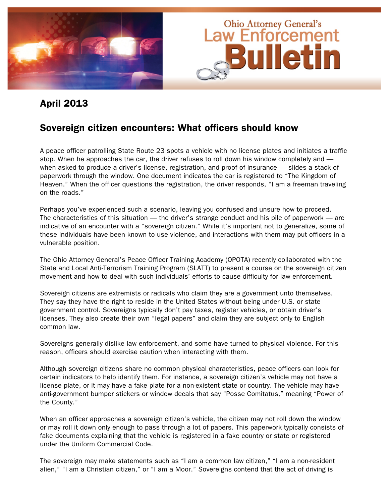

#### April 2013

#### Sovereign citizen encounters: What officers should know

A peace officer patrolling State Route 23 spots a vehicle with no license plates and initiates a traffic stop. When he approaches the car, the driver refuses to roll down his window completely and when asked to produce a driver's license, registration, and proof of insurance — slides a stack of paperwork through the window. One document indicates the car is registered to "The Kingdom of Heaven." When the officer questions the registration, the driver responds, "I am a freeman traveling on the roads."

Perhaps you've experienced such a scenario, leaving you confused and unsure how to proceed. The characteristics of this situation — the driver's strange conduct and his pile of paperwork — are indicative of an encounter with a "sovereign citizen." While it's important not to generalize, some of these individuals have been known to use violence, and interactions with them may put officers in a vulnerable position.

The Ohio Attorney General's Peace Officer Training Academy (OPOTA) recently collaborated with the State and Local Anti-Terrorism Training Program (SLATT) to present a course on the sovereign citizen movement and how to deal with such individuals' efforts to cause difficulty for law enforcement.

Sovereign citizens are extremists or radicals who claim they are a government unto themselves. They say they have the right to reside in the United States without being under U.S. or state government control. Sovereigns typically don't pay taxes, register vehicles, or obtain driver's licenses. They also create their own "legal papers" and claim they are subject only to English common law.

Sovereigns generally dislike law enforcement, and some have turned to physical violence. For this reason, officers should exercise caution when interacting with them.

Although sovereign citizens share no common physical characteristics, peace officers can look for certain indicators to help identify them. For instance, a sovereign citizen's vehicle may not have a license plate, or it may have a fake plate for a non-existent state or country. The vehicle may have anti-government bumper stickers or window decals that say "Posse Comitatus," meaning "Power of the County."

When an officer approaches a sovereign citizen's vehicle, the citizen may not roll down the window or may roll it down only enough to pass through a lot of papers. This paperwork typically consists of fake documents explaining that the vehicle is registered in a fake country or state or registered under the Uniform Commercial Code.

The sovereign may make statements such as "I am a common law citizen," "I am a non-resident alien," "I am a Christian citizen," or "I am a Moor." Sovereigns contend that the act of driving is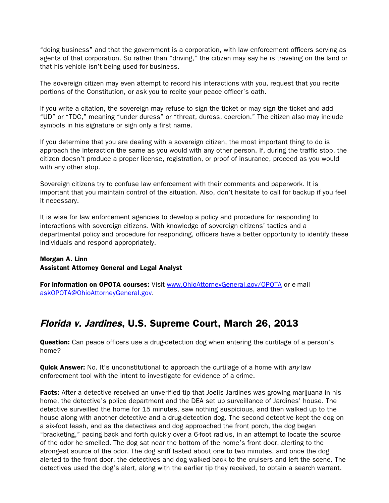"doing business" and that the government is a corporation, with law enforcement officers serving as agents of that corporation. So rather than "driving," the citizen may say he is traveling on the land or that his vehicle isn't being used for business.

The sovereign citizen may even attempt to record his interactions with you, request that you recite portions of the Constitution, or ask you to recite your peace officer's oath.

If you write a citation, the sovereign may refuse to sign the ticket or may sign the ticket and add "UD" or "TDC," meaning "under duress" or "threat, duress, coercion." The citizen also may include symbols in his signature or sign only a first name.

If you determine that you are dealing with a sovereign citizen, the most important thing to do is approach the interaction the same as you would with any other person. If, during the traffic stop, the citizen doesn't produce a proper license, registration, or proof of insurance, proceed as you would with any other stop.

Sovereign citizens try to confuse law enforcement with their comments and paperwork. It is important that you maintain control of the situation. Also, don't hesitate to call for backup if you feel it necessary.

It is wise for law enforcement agencies to develop a policy and procedure for responding to interactions with sovereign citizens. With knowledge of sovereign citizens' tactics and a departmental policy and procedure for responding, officers have a better opportunity to identify these individuals and respond appropriately.

Morgan A. Linn Assistant Attorney General and Legal Analyst

For information on OPOTA courses: Visit www.OhioAttorneyGeneral.gov/OPOTA or e-mail askOPOTA@OhioAttorneyGeneral.gov.

#### Florida v. Jardines, U.S. Supreme Court, March 26, 2013

**Question:** Can peace officers use a drug-detection dog when entering the curtilage of a person's home?

**Quick Answer:** No. It's unconstitutional to approach the curtilage of a home with *any* law enforcement tool with the intent to investigate for evidence of a crime.

**Facts:** After a detective received an unverified tip that Joelis Jardines was growing marijuana in his home, the detective's police department and the DEA set up surveillance of Jardines' house. The detective surveilled the home for 15 minutes, saw nothing suspicious, and then walked up to the house along with another detective and a drug-detection dog. The second detective kept the dog on a six-foot leash, and as the detectives and dog approached the front porch, the dog began "bracketing," pacing back and forth quickly over a 6-foot radius, in an attempt to locate the source of the odor he smelled. The dog sat near the bottom of the home's front door, alerting to the strongest source of the odor. The dog sniff lasted about one to two minutes, and once the dog alerted to the front door, the detectives and dog walked back to the cruisers and left the scene. The detectives used the dog's alert, along with the earlier tip they received, to obtain a search warrant.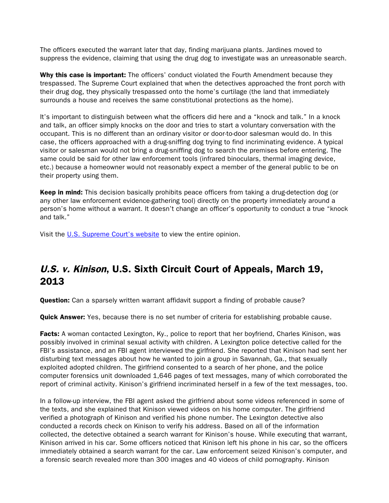The officers executed the warrant later that day, finding marijuana plants. Jardines moved to suppress the evidence, claiming that using the drug dog to investigate was an unreasonable search.

Why this case is important: The officers' conduct violated the Fourth Amendment because they trespassed. The Supreme Court explained that when the detectives approached the front porch with their drug dog, they physically trespassed onto the home's curtilage (the land that immediately surrounds a house and receives the same constitutional protections as the home).

It's important to distinguish between what the officers did here and a "knock and talk." In a knock and talk, an officer simply knocks on the door and tries to start a voluntary conversation with the occupant. This is no different than an ordinary visitor or door-to-door salesman would do. In this case, the officers approached with a drug-sniffing dog trying to find incriminating evidence. A typical visitor or salesman would not bring a drug-sniffing dog to search the premises before entering. The same could be said for other law enforcement tools (infrared binoculars, thermal imaging device, etc.) because a homeowner would not reasonably expect a member of the general public to be on their property using them.

Keep in mind: This decision basically prohibits peace officers from taking a drug-detection dog (or any other law enforcement evidence-gathering tool) directly on the property immediately around a person's home without a warrant. It doesn't change an officer's opportunity to conduct a true "knock and talk."

Visit the [U.S. Supreme Court's website](http://www.supremecourt.gov/opinions/12pdf/11-564_5426.pdf) to view the entire opinion.

## U.S. v. Kinison, U.S. Sixth Circuit Court of Appeals, March 19, 2013

**Question:** Can a sparsely written warrant affidavit support a finding of probable cause?

**Quick Answer:** Yes, because there is no set number of criteria for establishing probable cause.

Facts: A woman contacted Lexington, Ky., police to report that her boyfriend, Charles Kinison, was possibly involved in criminal sexual activity with children. A Lexington police detective called for the FBI's assistance, and an FBI agent interviewed the girlfriend. She reported that Kinison had sent her disturbing text messages about how he wanted to join a group in Savannah, Ga., that sexually exploited adopted children. The girlfriend consented to a search of her phone, and the police computer forensics unit downloaded 1,646 pages of text messages, many of which corroborated the report of criminal activity. Kinison's girlfriend incriminated herself in a few of the text messages, too.

In a follow-up interview, the FBI agent asked the girlfriend about some videos referenced in some of the texts, and she explained that Kinison viewed videos on his home computer. The girlfriend verified a photograph of Kinison and verified his phone number. The Lexington detective also conducted a records check on Kinison to verify his address. Based on all of the information collected, the detective obtained a search warrant for Kinison's house. While executing that warrant, Kinison arrived in his car. Some officers noticed that Kinison left his phone in his car, so the officers immediately obtained a search warrant for the car. Law enforcement seized Kinison's computer, and a forensic search revealed more than 300 images and 40 videos of child pornography. Kinison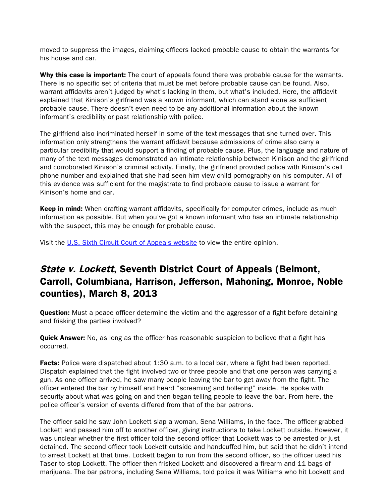moved to suppress the images, claiming officers lacked probable cause to obtain the warrants for his house and car.

Why this case is important: The court of appeals found there was probable cause for the warrants. There is no specific set of criteria that must be met before probable cause can be found. Also, warrant affidavits aren't judged by what's lacking in them, but what's included. Here, the affidavit explained that Kinison's girlfriend was a known informant, which can stand alone as sufficient probable cause. There doesn't even need to be any additional information about the known informant's credibility or past relationship with police.

The girlfriend also incriminated herself in some of the text messages that she turned over. This information only strengthens the warrant affidavit because admissions of crime also carry a particular credibility that would support a finding of probable cause. Plus, the language and nature of many of the text messages demonstrated an intimate relationship between Kinison and the girlfriend and corroborated Kinison's criminal activity. Finally, the girlfriend provided police with Kinison's cell phone number and explained that she had seen him view child pornography on his computer. All of this evidence was sufficient for the magistrate to find probable cause to issue a warrant for Kinison's home and car.

Keep in mind: When drafting warrant affidavits, specifically for computer crimes, include as much information as possible. But when you've got a known informant who has an intimate relationship with the suspect, this may be enough for probable cause.

Visit the [U.S. Sixth Circuit Court of Appeals website](http://www.ca6.uscourts.gov/opinions.pdf/13a0071p-06.pdf) to view the entire opinion.

### State v. Lockett, Seventh District Court of Appeals (Belmont, Carroll, Columbiana, Harrison, Jefferson, Mahoning, Monroe, Noble counties), March 8, 2013

**Question:** Must a peace officer determine the victim and the aggressor of a fight before detaining and frisking the parties involved?

**Quick Answer:** No, as long as the officer has reasonable suspicion to believe that a fight has occurred.

Facts: Police were dispatched about 1:30 a.m. to a local bar, where a fight had been reported. Dispatch explained that the fight involved two or three people and that one person was carrying a gun. As one officer arrived, he saw many people leaving the bar to get away from the fight. The officer entered the bar by himself and heard "screaming and hollering" inside. He spoke with security about what was going on and then began telling people to leave the bar. From here, the police officer's version of events differed from that of the bar patrons.

The officer said he saw John Lockett slap a woman, Sena Williams, in the face. The officer grabbed Lockett and passed him off to another officer, giving instructions to take Lockett outside. However, it was unclear whether the first officer told the second officer that Lockett was to be arrested or just detained. The second officer took Lockett outside and handcuffed him, but said that he didn't intend to arrest Lockett at that time. Lockett began to run from the second officer, so the officer used his Taser to stop Lockett. The officer then frisked Lockett and discovered a firearm and 11 bags of marijuana. The bar patrons, including Sena Williams, told police it was Williams who hit Lockett and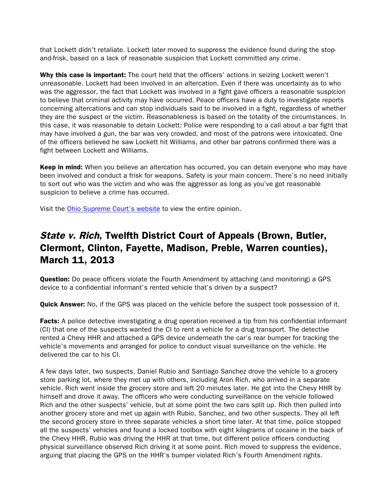that Lockett didn't retaliate. Lockett later moved to suppress the evidence found during the stopand-frisk, based on a lack of reasonable suspicion that Lockett committed any crime.

Why this case is important: The court held that the officers' actions in seizing Lockett weren't unreasonable. Lockett had been involved in an altercation. Even if there was uncertainty as to who was the aggressor, the fact that Lockett was involved in a fight gave officers a reasonable suspicion to believe that criminal activity may have occurred. Peace officers have a duty to investigate reports concerning altercations and can stop individuals said to be involved in a fight, regardless of whether they are the suspect or the victim. Reasonableness is based on the totality of the circumstances. In this case, it was reasonable to detain Lockett: Police were responding to a call about a bar fight that may have involved a gun, the bar was very crowded, and most of the patrons were intoxicated. One of the officers believed he saw Lockett hit Williams, and other bar patrons confirmed there was a fight between Lockett and Williams.

Keep in mind: When you believe an altercation has occurred, you can detain everyone who may have been involved and conduct a frisk for weapons. Safety is your main concern. There's no need initially to sort out who was the victim and who was the aggressor as long as you've got reasonable suspicion to believe a crime has occurred.

Visit the [Ohio Supreme Court's website](http://www.supremecourt.ohio.gov/rod/docs/pdf/7/2013/2013-ohio-896.pdf) to view the entire opinion.

## State v. Rich, Twelfth District Court of Appeals (Brown, Butler, Clermont, Clinton, Fayette, Madison, Preble, Warren counties), March 11, 2013

**Question:** Do peace officers violate the Fourth Amendment by attaching (and monitoring) a GPS device to a confidential informant's rented vehicle that's driven by a suspect?

**Quick Answer:** No, if the GPS was placed on the vehicle before the suspect took possession of it.

**Facts:** A police detective investigating a drug operation received a tip from his confidential informant (CI) that one of the suspects wanted the CI to rent a vehicle for a drug transport. The detective rented a Chevy HHR and attached a GPS device underneath the car's rear bumper for tracking the vehicle's movements and arranged for police to conduct visual surveillance on the vehicle. He delivered the car to his CI.

A few days later, two suspects, Daniel Rubio and Santiago Sanchez drove the vehicle to a grocery store parking lot, where they met up with others, including Aron Rich, who arrived in a separate vehicle. Rich went inside the grocery store and left 20 minutes later. He got into the Chevy HHR by himself and drove it away. The officers who were conducting surveillance on the vehicle followed Rich and the other suspects' vehicle, but at some point the two cars split up. Rich then pulled into another grocery store and met up again with Rubio, Sanchez, and two other suspects. They all left the second grocery store in three separate vehicles a short time later. At that time, police stopped all the suspects' vehicles and found a locked toolbox with eight kilograms of cocaine in the back of the Chevy HHR. Rubio was driving the HHR at that time, but different police officers conducting physical surveillance observed Rich driving it at some point. Rich moved to suppress the evidence, arguing that placing the GPS on the HHR's bumper violated Rich's Fourth Amendment rights.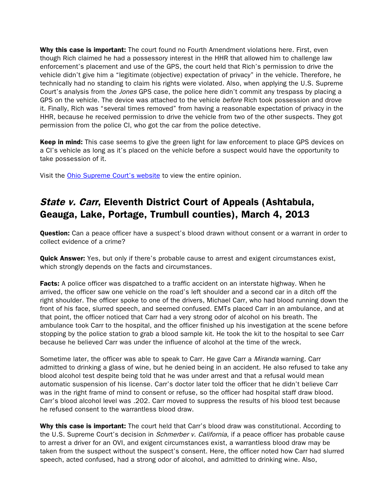Why this case is important: The court found no Fourth Amendment violations here. First, even though Rich claimed he had a possessory interest in the HHR that allowed him to challenge law enforcement's placement and use of the GPS, the court held that Rich's permission to drive the vehicle didn't give him a "legitimate (objective) expectation of privacy" in the vehicle. Therefore, he technically had no standing to claim his rights were violated. Also, when applying the U.S. Supreme Court's analysis from the *Jones* GPS case, the police here didn't commit any trespass by placing a GPS on the vehicle. The device was attached to the vehicle *before* Rich took possession and drove it. Finally, Rich was "several times removed" from having a reasonable expectation of privacy in the HHR, because he received permission to drive the vehicle from two of the other suspects. They got permission from the police CI, who got the car from the police detective.

**Keep in mind:** This case seems to give the green light for law enforcement to place GPS devices on a CI's vehicle as long as it's placed on the vehicle before a suspect would have the opportunity to take possession of it.

Visit the [Ohio Supreme Court's website](http://www.supremecourt.ohio.gov/rod/docs/pdf/12/2013/2013-ohio-857.pdf) to view the entire opinion.

# State v. Carr, Eleventh District Court of Appeals (Ashtabula, Geauga, Lake, Portage, Trumbull counties), March 4, 2013

**Question:** Can a peace officer have a suspect's blood drawn without consent or a warrant in order to collect evidence of a crime?

Quick Answer: Yes, but only if there's probable cause to arrest and exigent circumstances exist, which strongly depends on the facts and circumstances.

**Facts:** A police officer was dispatched to a traffic accident on an interstate highway. When he arrived, the officer saw one vehicle on the road's left shoulder and a second car in a ditch off the right shoulder. The officer spoke to one of the drivers, Michael Carr, who had blood running down the front of his face, slurred speech, and seemed confused. EMTs placed Carr in an ambulance, and at that point, the officer noticed that Carr had a very strong odor of alcohol on his breath. The ambulance took Carr to the hospital, and the officer finished up his investigation at the scene before stopping by the police station to grab a blood sample kit. He took the kit to the hospital to see Carr because he believed Carr was under the influence of alcohol at the time of the wreck.

Sometime later, the officer was able to speak to Carr. He gave Carr a Miranda warning. Carr admitted to drinking a glass of wine, but he denied being in an accident. He also refused to take any blood alcohol test despite being told that he was under arrest and that a refusal would mean automatic suspension of his license. Carr's doctor later told the officer that he didn't believe Carr was in the right frame of mind to consent or refuse, so the officer had hospital staff draw blood. Carr's blood alcohol level was .202. Carr moved to suppress the results of his blood test because he refused consent to the warrantless blood draw.

Why this case is important: The court held that Carr's blood draw was constitutional. According to the U.S. Supreme Court's decision in *Schmerber v. California*, if a peace officer has probable cause to arrest a driver for an OVI, and exigent circumstances exist, a warrantless blood draw may be taken from the suspect without the suspect's consent. Here, the officer noted how Carr had slurred speech, acted confused, had a strong odor of alcohol, and admitted to drinking wine. Also,